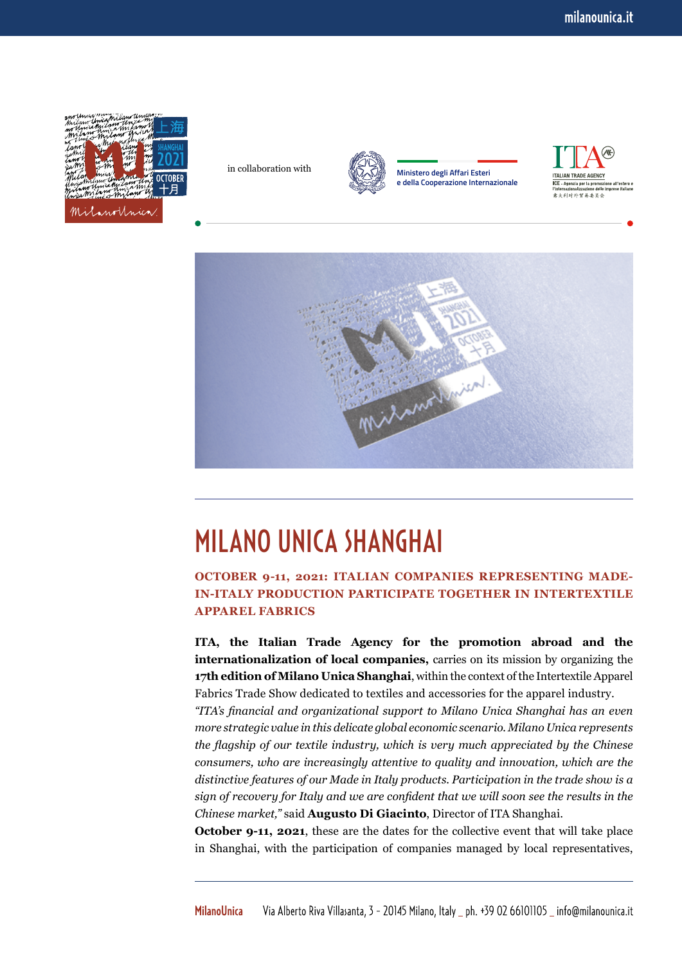

in collaboration with



**Ministero degli Affari Esteri e della Cooperazione Internazionale**





## MILANO UNICA SHANGHAI

**OCTOBER 9-11, 2021: ITALIAN COMPANIES REPRESENTING MADE-IN-ITALY PRODUCTION PARTICIPATE TOGETHER IN INTERTEXTILE APPAREL FABRICS**

**ITA, the Italian Trade Agency for the promotion abroad and the internationalization of local companies,** carries on its mission by organizing the **17th edition of Milano Unica Shanghai**, within the context of the Intertextile Apparel Fabrics Trade Show dedicated to textiles and accessories for the apparel industry.

*"ITA's financial and organizational support to Milano Unica Shanghai has an even more strategic value in this delicate global economic scenario. Milano Unica represents the flagship of our textile industry, which is very much appreciated by the Chinese consumers, who are increasingly attentive to quality and innovation, which are the distinctive features of our Made in Italy products. Participation in the trade show is a sign of recovery for Italy and we are confident that we will soon see the results in the Chinese market,"* said **Augusto Di Giacinto**, Director of ITA Shanghai.

**October 9-11, 2021**, these are the dates for the collective event that will take place in Shanghai, with the participation of companies managed by local representatives,